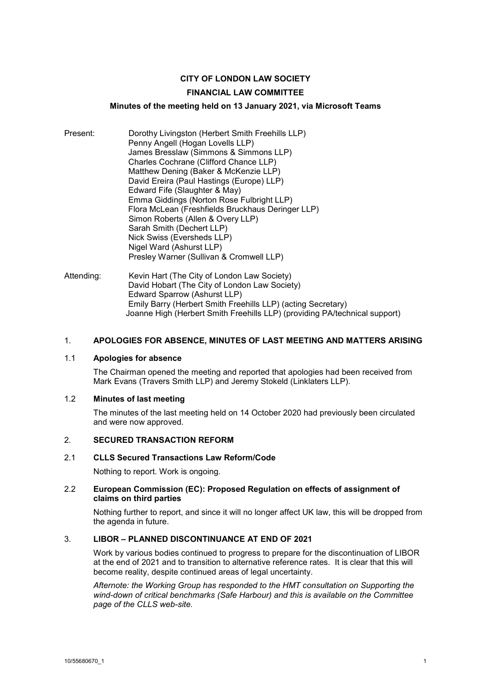# **CITY OF LONDON LAW SOCIETY**

## **FINANCIAL LAW COMMITTEE**

### **Minutes of the meeting held on 13 January 2021, via Microsoft Teams**

- Present: Dorothy Livingston (Herbert Smith Freehills LLP) Penny Angell (Hogan Lovells LLP) James Bresslaw (Simmons & Simmons LLP) Charles Cochrane (Clifford Chance LLP) Matthew Dening (Baker & McKenzie LLP) David Ereira (Paul Hastings (Europe) LLP) Edward Fife (Slaughter & May) Emma Giddings (Norton Rose Fulbright LLP) Flora McLean (Freshfields Bruckhaus Deringer LLP) Simon Roberts (Allen & Overy LLP) Sarah Smith (Dechert LLP) Nick Swiss (Eversheds LLP) Nigel Ward (Ashurst LLP) Presley Warner (Sullivan & Cromwell LLP)
- Attending: Kevin Hart (The City of London Law Society) David Hobart (The City of London Law Society) Edward Sparrow (Ashurst LLP) Emily Barry (Herbert Smith Freehills LLP) (acting Secretary) Joanne High (Herbert Smith Freehills LLP) (providing PA/technical support)

## 1. **APOLOGIES FOR ABSENCE, MINUTES OF LAST MEETING AND MATTERS ARISING**

#### 1.1 **Apologies for absence**

The Chairman opened the meeting and reported that apologies had been received from Mark Evans (Travers Smith LLP) and Jeremy Stokeld (Linklaters LLP).

#### 1.2 **Minutes of last meeting**

The minutes of the last meeting held on 14 October 2020 had previously been circulated and were now approved.

### 2. **SECURED TRANSACTION REFORM**

### 2.1 **CLLS Secured Transactions Law Reform/Code**

Nothing to report. Work is ongoing.

### 2.2 **European Commission (EC): Proposed Regulation on effects of assignment of claims on third parties**

Nothing further to report, and since it will no longer affect UK law, this will be dropped from the agenda in future.

# 3. **LIBOR – PLANNED DISCONTINUANCE AT END OF 2021**

Work by various bodies continued to progress to prepare for the discontinuation of LIBOR at the end of 2021 and to transition to alternative reference rates. It is clear that this will become reality, despite continued areas of legal uncertainty.

*Afternote: the Working Group has responded to the HMT consultation on Supporting the wind-down of critical benchmarks (Safe Harbour) and this is available on the Committee page of the CLLS web-site.*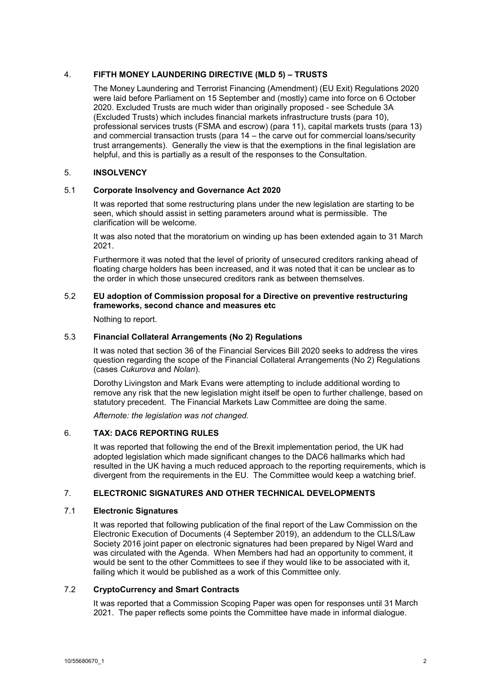# 4. **FIFTH MONEY LAUNDERING DIRECTIVE (MLD 5) – TRUSTS**

The Money Laundering and Terrorist Financing (Amendment) (EU Exit) Regulations 2020 were laid before Parliament on 15 September and (mostly) came into force on 6 October 2020. Excluded Trusts are much wider than originally proposed - see Schedule 3A (Excluded Trusts) which includes financial markets infrastructure trusts (para 10), professional services trusts (FSMA and escrow) (para 11), capital markets trusts (para 13) and commercial transaction trusts (para 14 – the carve out for commercial loans/security trust arrangements). Generally the view is that the exemptions in the final legislation are helpful, and this is partially as a result of the responses to the Consultation.

### 5. **INSOLVENCY**

### 5.1 **Corporate Insolvency and Governance Act 2020**

It was reported that some restructuring plans under the new legislation are starting to be seen, which should assist in setting parameters around what is permissible. The clarification will be welcome.

It was also noted that the moratorium on winding up has been extended again to 31 March 2021.

Furthermore it was noted that the level of priority of unsecured creditors ranking ahead of floating charge holders has been increased, and it was noted that it can be unclear as to the order in which those unsecured creditors rank as between themselves.

### 5.2 **EU adoption of Commission proposal for a Directive on preventive restructuring frameworks, second chance and measures etc**

Nothing to report.

## 5.3 **Financial Collateral Arrangements (No 2) Regulations**

It was noted that section 36 of the Financial Services Bill 2020 seeks to address the vires question regarding the scope of the Financial Collateral Arrangements (No 2) Regulations (cases *Cukurova* and *Nolan*).

Dorothy Livingston and Mark Evans were attempting to include additional wording to remove any risk that the new legislation might itself be open to further challenge, based on statutory precedent. The Financial Markets Law Committee are doing the same.

*Afternote: the legislation was not changed.* 

## 6. **TAX: DAC6 REPORTING RULES**

It was reported that following the end of the Brexit implementation period, the UK had adopted legislation which made significant changes to the DAC6 hallmarks which had resulted in the UK having a much reduced approach to the reporting requirements, which is divergent from the requirements in the EU. The Committee would keep a watching brief.

### 7. **ELECTRONIC SIGNATURES AND OTHER TECHNICAL DEVELOPMENTS**

### 7.1 **Electronic Signatures**

It was reported that following publication of the final report of the Law Commission on the Electronic Execution of Documents (4 September 2019), an addendum to the CLLS/Law Society 2016 joint paper on electronic signatures had been prepared by Nigel Ward and was circulated with the Agenda. When Members had had an opportunity to comment, it would be sent to the other Committees to see if they would like to be associated with it, failing which it would be published as a work of this Committee only.

# 7.2 **CryptoCurrency and Smart Contracts**

It was reported that a Commission Scoping Paper was open for responses until 31 March 2021. The paper reflects some points the Committee have made in informal dialogue.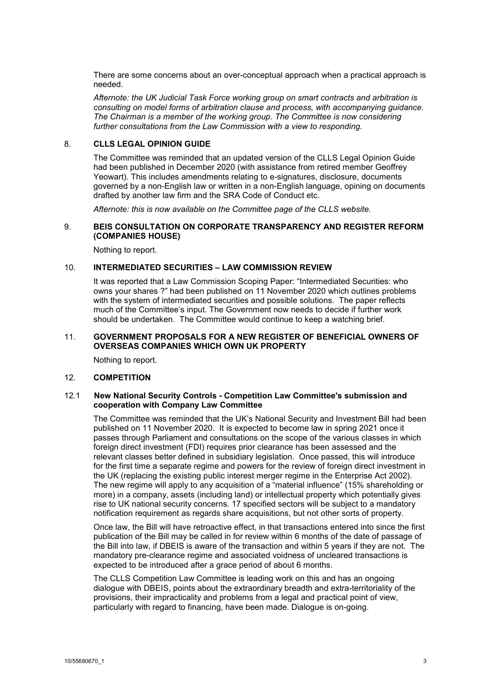There are some concerns about an over-conceptual approach when a practical approach is needed.

*Afternote: the UK Judicial Task Force working group on smart contracts and arbitration is consulting on model forms of arbitration clause and process, with accompanying guidance. The Chairman is a member of the working group. The Committee is now considering further consultations from the Law Commission with a view to responding.* 

### 8. **CLLS LEGAL OPINION GUIDE**

The Committee was reminded that an updated version of the CLLS Legal Opinion Guide had been published in December 2020 (with assistance from retired member Geoffrey Yeowart). This includes amendments relating to e-signatures, disclosure, documents governed by a non-English law or written in a non-English language, opining on documents drafted by another law firm and the SRA Code of Conduct etc.

*Afternote: this is now available on the Committee page of the CLLS website.*

# 9. **BEIS CONSULTATION ON CORPORATE TRANSPARENCY AND REGISTER REFORM (COMPANIES HOUSE)**

Nothing to report.

# 10. **INTERMEDIATED SECURITIES – LAW COMMISSION REVIEW**

It was reported that a Law Commission Scoping Paper: "Intermediated Securities: who owns your shares ?" had been published on 11 November 2020 which outlines problems with the system of intermediated securities and possible solutions. The paper reflects much of the Committee's input. The Government now needs to decide if further work should be undertaken. The Committee would continue to keep a watching brief.

#### 11. **GOVERNMENT PROPOSALS FOR A NEW REGISTER OF BENEFICIAL OWNERS OF OVERSEAS COMPANIES WHICH OWN UK PROPERTY**

Nothing to report.

### 12. **COMPETITION**

### 12.1 **New National Security Controls - Competition Law Committee's submission and cooperation with Company Law Committee**

The Committee was reminded that the UK's National Security and Investment Bill had been published on 11 November 2020. It is expected to become law in spring 2021 once it passes through Parliament and consultations on the scope of the various classes in which foreign direct investment (FDI) requires prior clearance has been assessed and the relevant classes better defined in subsidiary legislation. Once passed, this will introduce for the first time a separate regime and powers for the review of foreign direct investment in the UK (replacing the existing public interest merger regime in the Enterprise Act 2002). The new regime will apply to any acquisition of a "material influence" (15% shareholding or more) in a company, assets (including land) or intellectual property which potentially gives rise to UK national security concerns. 17 specified sectors will be subject to a mandatory notification requirement as regards share acquisitions, but not other sorts of property.

Once law, the Bill will have retroactive effect, in that transactions entered into since the first publication of the Bill may be called in for review within 6 months of the date of passage of the Bill into law, if DBEIS is aware of the transaction and within 5 years if they are not. The mandatory pre-clearance regime and associated voidness of uncleared transactions is expected to be introduced after a grace period of about 6 months.

The CLLS Competition Law Committee is leading work on this and has an ongoing dialogue with DBEIS, points about the extraordinary breadth and extra-territoriality of the provisions, their impracticality and problems from a legal and practical point of view, particularly with regard to financing, have been made. Dialogue is on-going.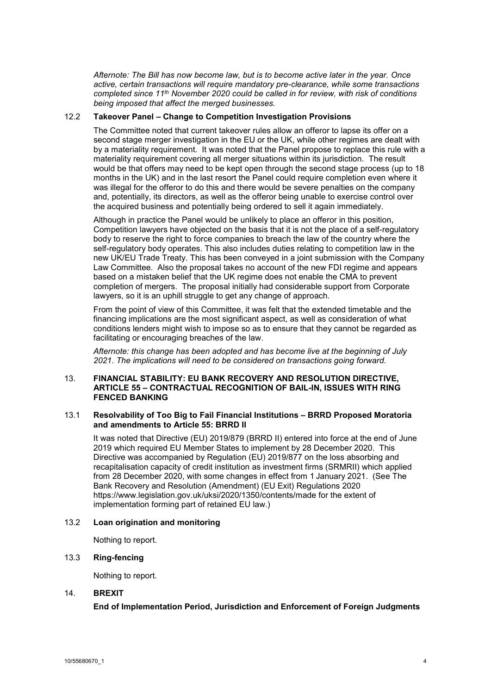*Afternote: The Bill has now become law, but is to become active later in the year. Once active, certain transactions will require mandatory pre-clearance, while some transactions completed since 11th November 2020 could be called in for review, with risk of conditions being imposed that affect the merged businesses.* 

# 12.2 **Takeover Panel – Change to Competition Investigation Provisions**

The Committee noted that current takeover rules allow an offeror to lapse its offer on a second stage merger investigation in the EU or the UK, while other regimes are dealt with by a materiality requirement. It was noted that the Panel propose to replace this rule with a materiality requirement covering all merger situations within its jurisdiction. The result would be that offers may need to be kept open through the second stage process (up to 18 months in the UK) and in the last resort the Panel could require completion even where it was illegal for the offeror to do this and there would be severe penalties on the company and, potentially, its directors, as well as the offeror being unable to exercise control over the acquired business and potentially being ordered to sell it again immediately.

Although in practice the Panel would be unlikely to place an offeror in this position, Competition lawyers have objected on the basis that it is not the place of a self-regulatory body to reserve the right to force companies to breach the law of the country where the self-regulatory body operates. This also includes duties relating to competition law in the new UK/EU Trade Treaty. This has been conveyed in a joint submission with the Company Law Committee. Also the proposal takes no account of the new FDI regime and appears based on a mistaken belief that the UK regime does not enable the CMA to prevent completion of mergers. The proposal initially had considerable support from Corporate lawyers, so it is an uphill struggle to get any change of approach.

From the point of view of this Committee, it was felt that the extended timetable and the financing implications are the most significant aspect, as well as consideration of what conditions lenders might wish to impose so as to ensure that they cannot be regarded as facilitating or encouraging breaches of the law.

*Afternote: this change has been adopted and has become live at the beginning of July 2021. The implications will need to be considered on transactions going forward.* 

## 13. **FINANCIAL STABILITY: EU BANK RECOVERY AND RESOLUTION DIRECTIVE, ARTICLE 55 – CONTRACTUAL RECOGNITION OF BAIL-IN, ISSUES WITH RING FENCED BANKING**

## 13.1 **Resolvability of Too Big to Fail Financial Institutions – BRRD Proposed Moratoria and amendments to Article 55: BRRD II**

It was noted that Directive (EU) 2019/879 (BRRD II) entered into force at the end of June 2019 which required EU Member States to implement by 28 December 2020. This Directive was accompanied by Regulation (EU) 2019/877 on the loss absorbing and recapitalisation capacity of credit institution as investment firms (SRMRII) which applied from 28 December 2020, with some changes in effect from 1 January 2021. (See The Bank Recovery and Resolution (Amendment) (EU Exit) Regulations 2020 https://www.legislation.gov.uk/uksi/2020/1350/contents/made for the extent of implementation forming part of retained EU law.)

### 13.2 **Loan origination and monitoring**

Nothing to report.

# 13.3 **Ring-fencing**

Nothing to report.

# 14. **BREXIT**

**End of Implementation Period, Jurisdiction and Enforcement of Foreign Judgments**